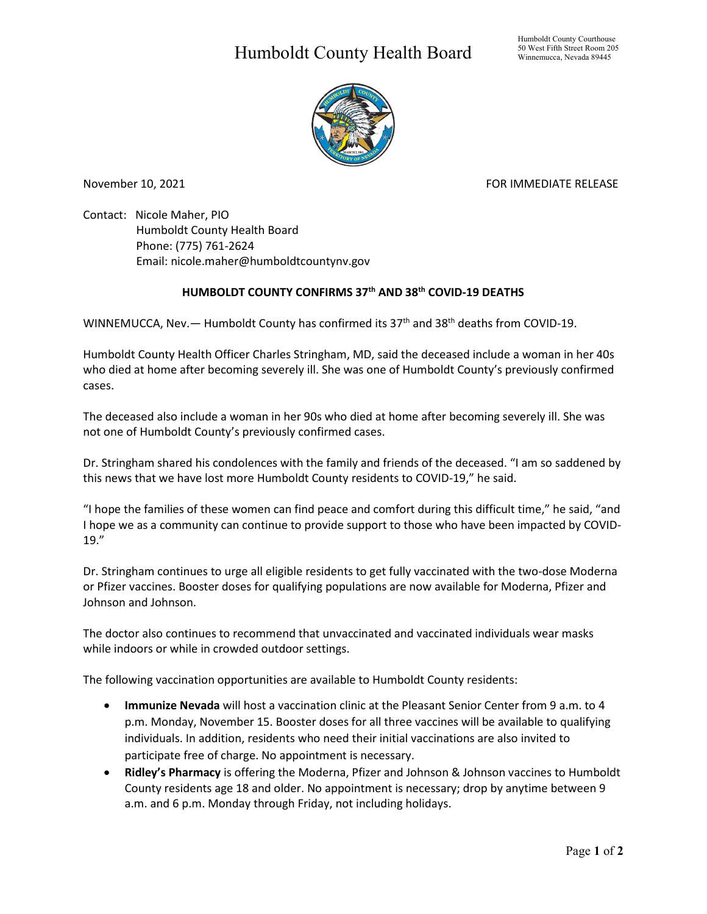## Humboldt County Health Board



November 10, 2021 FOR IMMEDIATE RELEASE

Contact: Nicole Maher, PIO Humboldt County Health Board Phone: (775) 761-2624 Email: nicole.maher@humboldtcountynv.gov

## **HUMBOLDT COUNTY CONFIRMS 37th AND 38th COVID-19 DEATHS**

WINNEMUCCA, Nev. - Humboldt County has confirmed its 37<sup>th</sup> and 38<sup>th</sup> deaths from COVID-19.

Humboldt County Health Officer Charles Stringham, MD, said the deceased include a woman in her 40s who died at home after becoming severely ill. She was one of Humboldt County's previously confirmed cases.

The deceased also include a woman in her 90s who died at home after becoming severely ill. She was not one of Humboldt County's previously confirmed cases.

Dr. Stringham shared his condolences with the family and friends of the deceased. "I am so saddened by this news that we have lost more Humboldt County residents to COVID-19," he said.

"I hope the families of these women can find peace and comfort during this difficult time," he said, "and I hope we as a community can continue to provide support to those who have been impacted by COVID-19."

Dr. Stringham continues to urge all eligible residents to get fully vaccinated with the two-dose Moderna or Pfizer vaccines. Booster doses for qualifying populations are now available for Moderna, Pfizer and Johnson and Johnson.

The doctor also continues to recommend that unvaccinated and vaccinated individuals wear masks while indoors or while in crowded outdoor settings.

The following vaccination opportunities are available to Humboldt County residents:

- **Immunize Nevada** will host a vaccination clinic at the Pleasant Senior Center from 9 a.m. to 4 p.m. Monday, November 15. Booster doses for all three vaccines will be available to qualifying individuals. In addition, residents who need their initial vaccinations are also invited to participate free of charge. No appointment is necessary.
- **Ridley's Pharmacy** is offering the Moderna, Pfizer and Johnson & Johnson vaccines to Humboldt County residents age 18 and older. No appointment is necessary; drop by anytime between 9 a.m. and 6 p.m. Monday through Friday, not including holidays.